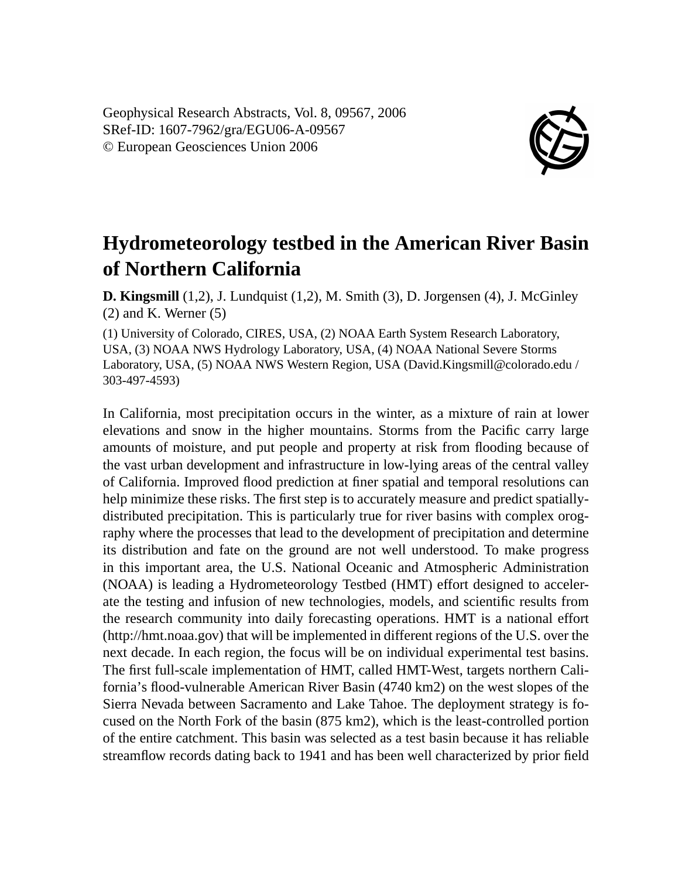Geophysical Research Abstracts, Vol. 8, 09567, 2006 SRef-ID: 1607-7962/gra/EGU06-A-09567 © European Geosciences Union 2006



## **Hydrometeorology testbed in the American River Basin of Northern California**

**D. Kingsmill** (1,2), J. Lundquist (1,2), M. Smith (3), D. Jorgensen (4), J. McGinley (2) and K. Werner (5)

(1) University of Colorado, CIRES, USA, (2) NOAA Earth System Research Laboratory, USA, (3) NOAA NWS Hydrology Laboratory, USA, (4) NOAA National Severe Storms Laboratory, USA, (5) NOAA NWS Western Region, USA (David.Kingsmill@colorado.edu / 303-497-4593)

In California, most precipitation occurs in the winter, as a mixture of rain at lower elevations and snow in the higher mountains. Storms from the Pacific carry large amounts of moisture, and put people and property at risk from flooding because of the vast urban development and infrastructure in low-lying areas of the central valley of California. Improved flood prediction at finer spatial and temporal resolutions can help minimize these risks. The first step is to accurately measure and predict spatiallydistributed precipitation. This is particularly true for river basins with complex orography where the processes that lead to the development of precipitation and determine its distribution and fate on the ground are not well understood. To make progress in this important area, the U.S. National Oceanic and Atmospheric Administration (NOAA) is leading a Hydrometeorology Testbed (HMT) effort designed to accelerate the testing and infusion of new technologies, models, and scientific results from the research community into daily forecasting operations. HMT is a national effort (http://hmt.noaa.gov) that will be implemented in different regions of the U.S. over the next decade. In each region, the focus will be on individual experimental test basins. The first full-scale implementation of HMT, called HMT-West, targets northern California's flood-vulnerable American River Basin (4740 km2) on the west slopes of the Sierra Nevada between Sacramento and Lake Tahoe. The deployment strategy is focused on the North Fork of the basin (875 km2), which is the least-controlled portion of the entire catchment. This basin was selected as a test basin because it has reliable streamflow records dating back to 1941 and has been well characterized by prior field